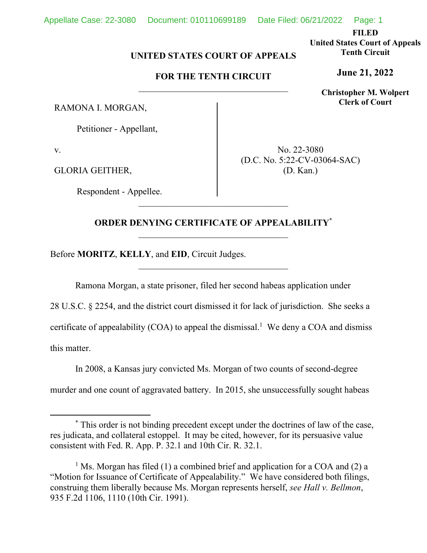**FILED** 

**United States Court of Appeals Tenth Circuit** 

**Christopher M. Wolpert Clerk of Court**

## **June 21, 2022**

**FOR THE TENTH CIRCUIT** 

**UNITED STATES COURT OF APPEALS** 

RAMONA I. MORGAN,

Petitioner - Appellant,

v.

GLORIA GEITHER,

Respondent - Appellee.

No. 22-3080 (D.C. No. 5:22-CV-03064-SAC) (D. Kan.)

## **ORDER DENYING CERTIFICATE OF APPEALABILITY\***

\_\_\_\_\_\_\_\_\_\_\_\_\_\_\_\_\_\_\_\_\_\_\_\_\_\_\_\_\_\_\_\_\_

Before **MORITZ**, **KELLY**, and **EID**, Circuit Judges.

Ramona Morgan, a state prisoner, filed her second habeas application under

28 U.S.C. § 2254, and the district court dismissed it for lack of jurisdiction. She seeks a certificate of appealability  $(COA)$  to appeal the dismissal.<sup>1</sup> We deny a COA and dismiss this matter.

In 2008, a Kansas jury convicted Ms. Morgan of two counts of second-degree murder and one count of aggravated battery. In 2015, she unsuccessfully sought habeas

<sup>\*</sup> This order is not binding precedent except under the doctrines of law of the case, res judicata, and collateral estoppel. It may be cited, however, for its persuasive value consistent with Fed. R. App. P. 32.1 and 10th Cir. R. 32.1.

<sup>&</sup>lt;sup>1</sup> Ms. Morgan has filed (1) a combined brief and application for a COA and (2) a "Motion for Issuance of Certificate of Appealability." We have considered both filings, construing them liberally because Ms. Morgan represents herself, *see Hall v. Bellmon*, 935 F.2d 1106, 1110 (10th Cir. 1991).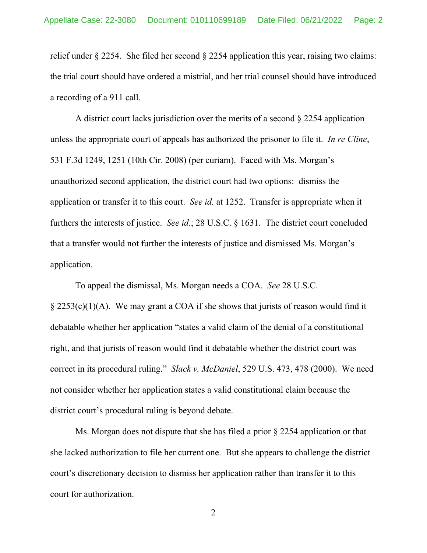relief under § 2254. She filed her second § 2254 application this year, raising two claims: the trial court should have ordered a mistrial, and her trial counsel should have introduced a recording of a 911 call.

A district court lacks jurisdiction over the merits of a second § 2254 application unless the appropriate court of appeals has authorized the prisoner to file it. *In re Cline*, 531 F.3d 1249, 1251 (10th Cir. 2008) (per curiam). Faced with Ms. Morgan's unauthorized second application, the district court had two options: dismiss the application or transfer it to this court. *See id.* at 1252. Transfer is appropriate when it furthers the interests of justice. *See id.*; 28 U.S.C. § 1631. The district court concluded that a transfer would not further the interests of justice and dismissed Ms. Morgan's application.

To appeal the dismissal, Ms. Morgan needs a COA. *See* 28 U.S.C.  $\S 2253(c)(1)(A)$ . We may grant a COA if she shows that jurists of reason would find it debatable whether her application "states a valid claim of the denial of a constitutional right, and that jurists of reason would find it debatable whether the district court was correct in its procedural ruling." *Slack v. McDaniel*, 529 U.S. 473, 478 (2000). We need not consider whether her application states a valid constitutional claim because the district court's procedural ruling is beyond debate.

Ms. Morgan does not dispute that she has filed a prior § 2254 application or that she lacked authorization to file her current one. But she appears to challenge the district court's discretionary decision to dismiss her application rather than transfer it to this court for authorization.

2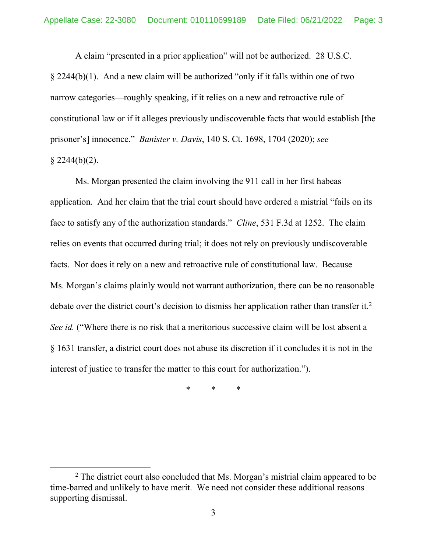A claim "presented in a prior application" will not be authorized. 28 U.S.C. § 2244(b)(1). And a new claim will be authorized "only if it falls within one of two narrow categories—roughly speaking, if it relies on a new and retroactive rule of constitutional law or if it alleges previously undiscoverable facts that would establish [the prisoner's] innocence." *Banister v. Davis*, 140 S. Ct. 1698, 1704 (2020); *see*   $§$  2244(b)(2).

Ms. Morgan presented the claim involving the 911 call in her first habeas application. And her claim that the trial court should have ordered a mistrial "fails on its face to satisfy any of the authorization standards." *Cline*, 531 F.3d at 1252. The claim relies on events that occurred during trial; it does not rely on previously undiscoverable facts. Nor does it rely on a new and retroactive rule of constitutional law. Because Ms. Morgan's claims plainly would not warrant authorization, there can be no reasonable debate over the district court's decision to dismiss her application rather than transfer it.<sup>2</sup> *See id.* ("Where there is no risk that a meritorious successive claim will be lost absent a § 1631 transfer, a district court does not abuse its discretion if it concludes it is not in the interest of justice to transfer the matter to this court for authorization.").

\* \* \*

 $2$  The district court also concluded that Ms. Morgan's mistrial claim appeared to be time-barred and unlikely to have merit. We need not consider these additional reasons supporting dismissal.